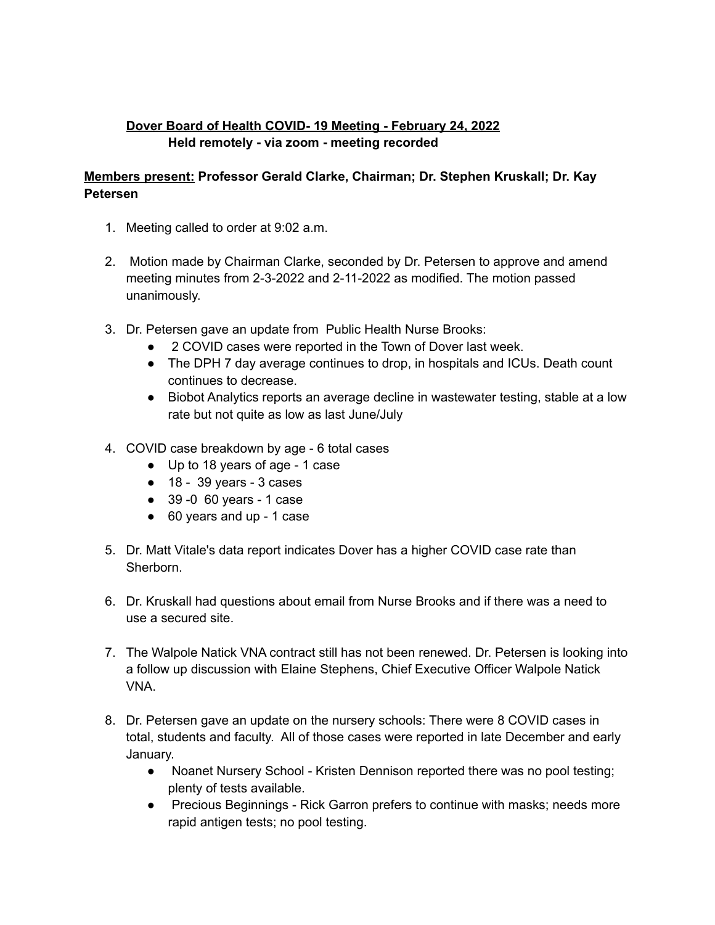## **Dover Board of Health COVID- 19 Meeting - February 24, 2022 Held remotely - via zoom - meeting recorded**

## **Members present: Professor Gerald Clarke, Chairman; Dr. Stephen Kruskall; Dr. Kay Petersen**

- 1. Meeting called to order at 9:02 a.m.
- 2. Motion made by Chairman Clarke, seconded by Dr. Petersen to approve and amend meeting minutes from 2-3-2022 and 2-11-2022 as modified. The motion passed unanimously.
- 3. Dr. Petersen gave an update from Public Health Nurse Brooks:
	- 2 COVID cases were reported in the Town of Dover last week.
	- The DPH 7 day average continues to drop, in hospitals and ICUs. Death count continues to decrease.
	- Biobot Analytics reports an average decline in wastewater testing, stable at a low rate but not quite as low as last June/July
- 4. COVID case breakdown by age 6 total cases
	- Up to 18 years of age 1 case
	- $\bullet$  18 39 years 3 cases
	- 39 -0 60 years 1 case
	- 60 years and up 1 case
- 5. Dr. Matt Vitale's data report indicates Dover has a higher COVID case rate than Sherborn.
- 6. Dr. Kruskall had questions about email from Nurse Brooks and if there was a need to use a secured site.
- 7. The Walpole Natick VNA contract still has not been renewed. Dr. Petersen is looking into a follow up discussion with Elaine Stephens, Chief Executive Officer Walpole Natick VNA.
- 8. Dr. Petersen gave an update on the nursery schools: There were 8 COVID cases in total, students and faculty. All of those cases were reported in late December and early January.
	- Noanet Nursery School Kristen Dennison reported there was no pool testing; plenty of tests available.
	- Precious Beginnings Rick Garron prefers to continue with masks; needs more rapid antigen tests; no pool testing.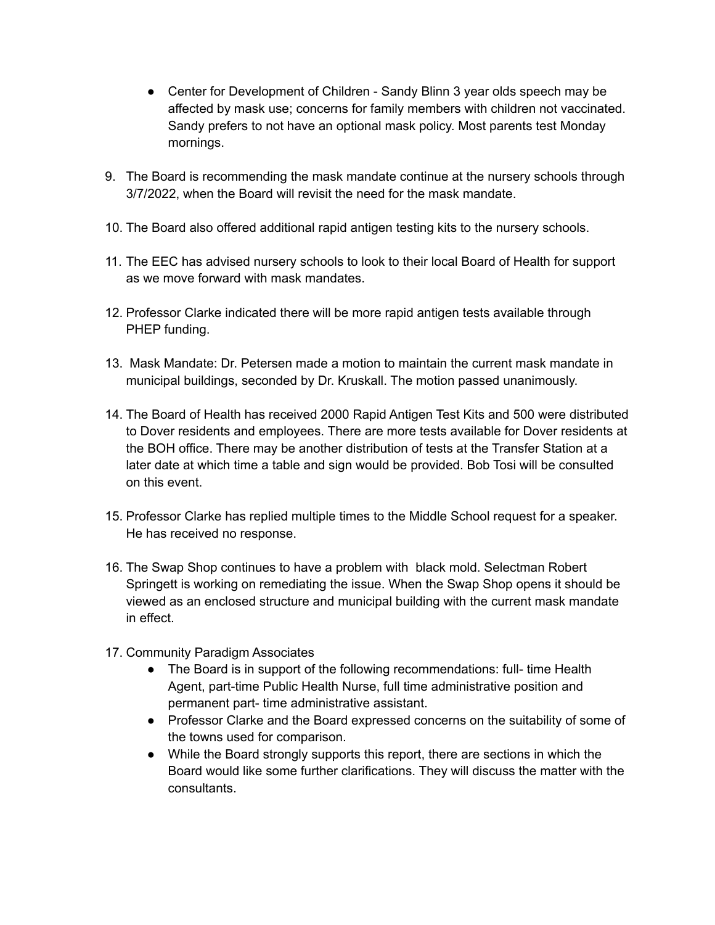- Center for Development of Children Sandy Blinn 3 year olds speech may be affected by mask use; concerns for family members with children not vaccinated. Sandy prefers to not have an optional mask policy. Most parents test Monday mornings.
- 9. The Board is recommending the mask mandate continue at the nursery schools through 3/7/2022, when the Board will revisit the need for the mask mandate.
- 10. The Board also offered additional rapid antigen testing kits to the nursery schools.
- 11. The EEC has advised nursery schools to look to their local Board of Health for support as we move forward with mask mandates.
- 12. Professor Clarke indicated there will be more rapid antigen tests available through PHEP funding.
- 13. Mask Mandate: Dr. Petersen made a motion to maintain the current mask mandate in municipal buildings, seconded by Dr. Kruskall. The motion passed unanimously.
- 14. The Board of Health has received 2000 Rapid Antigen Test Kits and 500 were distributed to Dover residents and employees. There are more tests available for Dover residents at the BOH office. There may be another distribution of tests at the Transfer Station at a later date at which time a table and sign would be provided. Bob Tosi will be consulted on this event.
- 15. Professor Clarke has replied multiple times to the Middle School request for a speaker. He has received no response.
- 16. The Swap Shop continues to have a problem with black mold. Selectman Robert Springett is working on remediating the issue. When the Swap Shop opens it should be viewed as an enclosed structure and municipal building with the current mask mandate in effect.
- 17. Community Paradigm Associates
	- The Board is in support of the following recommendations: full- time Health Agent, part-time Public Health Nurse, full time administrative position and permanent part- time administrative assistant.
	- Professor Clarke and the Board expressed concerns on the suitability of some of the towns used for comparison.
	- While the Board strongly supports this report, there are sections in which the Board would like some further clarifications. They will discuss the matter with the consultants.